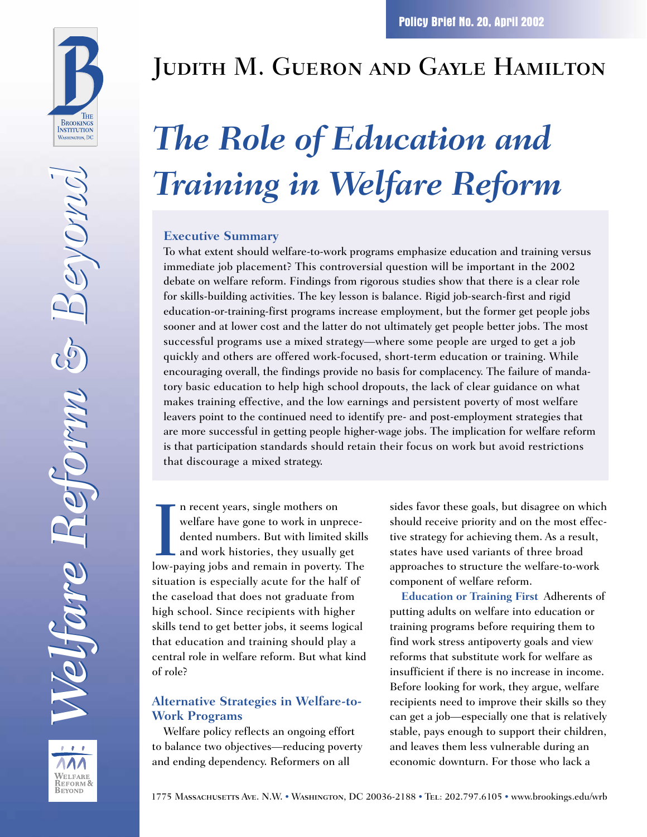

VELFARE REFORM & **BEYOND** 

# Judith M. Gueron and Gayle Hamilton

# *The Role of Education and Training in Welfare Reform*

#### **Executive Summary**

To what extent should welfare-to-work programs emphasize education and training versus immediate job placement? This controversial question will be important in the 2002 debate on welfare reform. Findings from rigorous studies show that there is a clear role for skills-building activities. The key lesson is balance. Rigid job-search-first and rigid education-or-training-first programs increase employment, but the former get people jobs sooner and at lower cost and the latter do not ultimately get people better jobs. The most successful programs use a mixed strategy—where some people are urged to get a job quickly and others are offered work-focused, short-term education or training. While encouraging overall, the findings provide no basis for complacency. The failure of mandatory basic education to help high school dropouts, the lack of clear guidance on what makes training effective, and the low earnings and persistent poverty of most welfare leavers point to the continued need to identify pre- and post-employment strategies that are more successful in getting people higher-wage jobs. The implication for welfare reform is that participation standards should retain their focus on work but avoid restrictions that discourage a mixed strategy.

In recent years, single mothers on<br>welfare have gone to work in unprece-<br>dented numbers. But with limited skill<br>and work histories, they usually get<br>low-paying jobs and remain in poverty. The n recent years, single mothers on welfare have gone to work in unprecedented numbers. But with limited skills and work histories, they usually get situation is especially acute for the half of the caseload that does not graduate from high school. Since recipients with higher skills tend to get better jobs, it seems logical that education and training should play a central role in welfare reform. But what kind of role?

#### **Alternative Strategies in Welfare-to-Work Programs**

Welfare policy reflects an ongoing effort to balance two objectives—reducing poverty and ending dependency. Reformers on all

sides favor these goals, but disagree on which should receive priority and on the most effective strategy for achieving them. As a result, states have used variants of three broad approaches to structure the welfare-to-work component of welfare reform.

**Education or Training First** Adherents of putting adults on welfare into education or training programs before requiring them to find work stress antipoverty goals and view reforms that substitute work for welfare as insufficient if there is no increase in income. Before looking for work, they argue, welfare recipients need to improve their skills so they can get a job—especially one that is relatively stable, pays enough to support their children, and leaves them less vulnerable during an economic downturn. For those who lack a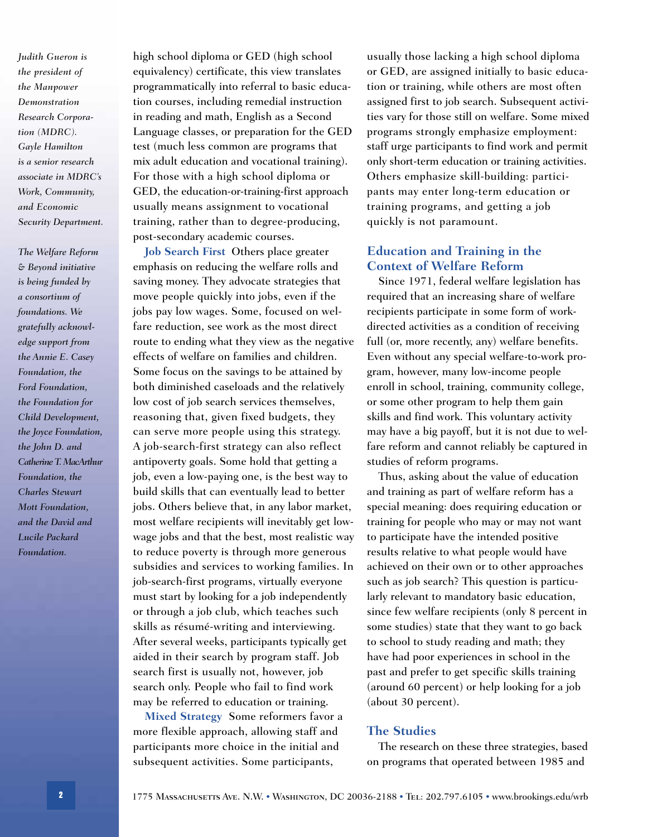*Judith Gueron is the president of the Manpower Demonstration Research Corporation (MDRC). Gayle Hamilton is a senior research associate in MDRC's Work, Community, and Economic Security Department.*

*The Welfare Reform & Beyond initiative is being funded by a consortium of foundations. We gratefully acknowledge support from the Annie E. Casey Foundation, the Ford Foundation, the Foundation for Child Development, the Joyce Foundation, the John D. and Catherine T. MacArthur Foundation, the Charles Stewart Mott Foundation, and the David and Lucile Packard Foundation.*

high school diploma or GED (high school equivalency) certificate, this view translates programmatically into referral to basic education courses, including remedial instruction in reading and math, English as a Second Language classes, or preparation for the GED test (much less common are programs that mix adult education and vocational training). For those with a high school diploma or GED, the education-or-training-first approach usually means assignment to vocational training, rather than to degree-producing, post-secondary academic courses.

**Job Search First** Others place greater emphasis on reducing the welfare rolls and saving money. They advocate strategies that move people quickly into jobs, even if the jobs pay low wages. Some, focused on welfare reduction, see work as the most direct route to ending what they view as the negative effects of welfare on families and children. Some focus on the savings to be attained by both diminished caseloads and the relatively low cost of job search services themselves, reasoning that, given fixed budgets, they can serve more people using this strategy. A job-search-first strategy can also reflect antipoverty goals. Some hold that getting a job, even a low-paying one, is the best way to build skills that can eventually lead to better jobs. Others believe that, in any labor market, most welfare recipients will inevitably get lowwage jobs and that the best, most realistic way to reduce poverty is through more generous subsidies and services to working families. In job-search-first programs, virtually everyone must start by looking for a job independently or through a job club, which teaches such skills as résumé-writing and interviewing. After several weeks, participants typically get aided in their search by program staff. Job search first is usually not, however, job search only. People who fail to find work may be referred to education or training.

**Mixed Strategy** Some reformers favor a more flexible approach, allowing staff and participants more choice in the initial and subsequent activities. Some participants,

usually those lacking a high school diploma or GED, are assigned initially to basic education or training, while others are most often assigned first to job search. Subsequent activities vary for those still on welfare. Some mixed programs strongly emphasize employment: staff urge participants to find work and permit only short-term education or training activities. Others emphasize skill-building: participants may enter long-term education or training programs, and getting a job quickly is not paramount.

#### **Education and Training in the Context of Welfare Reform**

Since 1971, federal welfare legislation has required that an increasing share of welfare recipients participate in some form of workdirected activities as a condition of receiving full (or, more recently, any) welfare benefits. Even without any special welfare-to-work program, however, many low-income people enroll in school, training, community college, or some other program to help them gain skills and find work. This voluntary activity may have a big payoff, but it is not due to welfare reform and cannot reliably be captured in studies of reform programs.

Thus, asking about the value of education and training as part of welfare reform has a special meaning: does requiring education or training for people who may or may not want to participate have the intended positive results relative to what people would have achieved on their own or to other approaches such as job search? This question is particularly relevant to mandatory basic education, since few welfare recipients (only 8 percent in some studies) state that they want to go back to school to study reading and math; they have had poor experiences in school in the past and prefer to get specific skills training (around 60 percent) or help looking for a job (about 30 percent).

#### **The Studies**

The research on these three strategies, based on programs that operated between 1985 and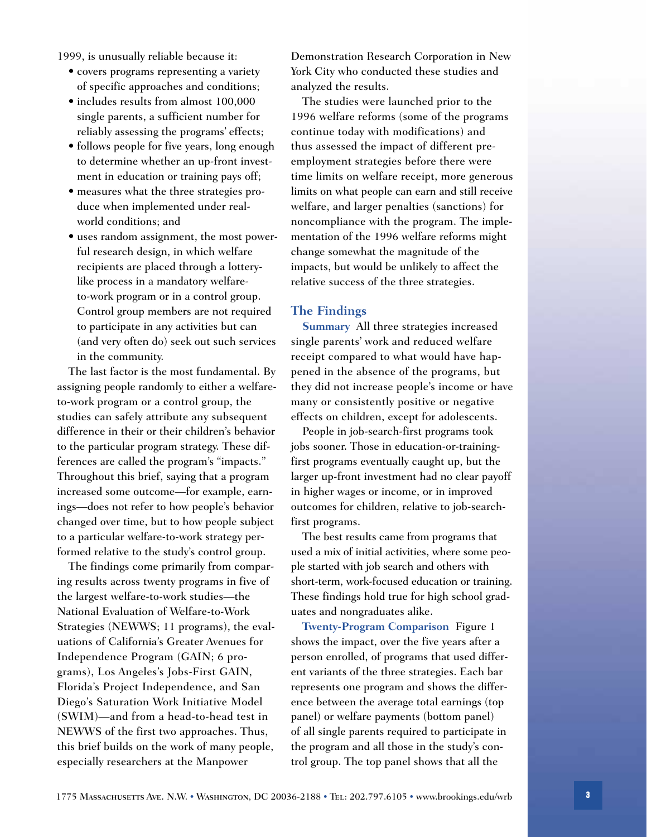1999, is unusually reliable because it:

- covers programs representing a variety of specific approaches and conditions;
- includes results from almost 100,000 single parents, a sufficient number for reliably assessing the programs' effects;
- follows people for five years, long enough to determine whether an up-front investment in education or training pays off;
- measures what the three strategies produce when implemented under realworld conditions; and
- uses random assignment, the most powerful research design, in which welfare recipients are placed through a lotterylike process in a mandatory welfareto-work program or in a control group. Control group members are not required to participate in any activities but can (and very often do) seek out such services in the community.

The last factor is the most fundamental. By assigning people randomly to either a welfareto-work program or a control group, the studies can safely attribute any subsequent difference in their or their children's behavior to the particular program strategy. These differences are called the program's "impacts." Throughout this brief, saying that a program increased some outcome—for example, earnings—does not refer to how people's behavior changed over time, but to how people subject to a particular welfare-to-work strategy performed relative to the study's control group.

The findings come primarily from comparing results across twenty programs in five of the largest welfare-to-work studies—the National Evaluation of Welfare-to-Work Strategies (NEWWS; 11 programs), the evaluations of California's Greater Avenues for Independence Program (GAIN; 6 programs), Los Angeles's Jobs-First GAIN, Florida's Project Independence, and San Diego's Saturation Work Initiative Model (SWIM)—and from a head-to-head test in NEWWS of the first two approaches. Thus, this brief builds on the work of many people, especially researchers at the Manpower

Demonstration Research Corporation in New York City who conducted these studies and analyzed the results.

The studies were launched prior to the 1996 welfare reforms (some of the programs continue today with modifications) and thus assessed the impact of different preemployment strategies before there were time limits on welfare receipt, more generous limits on what people can earn and still receive welfare, and larger penalties (sanctions) for noncompliance with the program. The implementation of the 1996 welfare reforms might change somewhat the magnitude of the impacts, but would be unlikely to affect the relative success of the three strategies.

#### **The Findings**

**Summary** All three strategies increased single parents' work and reduced welfare receipt compared to what would have happened in the absence of the programs, but they did not increase people's income or have many or consistently positive or negative effects on children, except for adolescents.

People in job-search-first programs took jobs sooner. Those in education-or-trainingfirst programs eventually caught up, but the larger up-front investment had no clear payoff in higher wages or income, or in improved outcomes for children, relative to job-searchfirst programs.

The best results came from programs that used a mix of initial activities, where some people started with job search and others with short-term, work-focused education or training. These findings hold true for high school graduates and nongraduates alike.

**Twenty-Program Comparison** Figure 1 shows the impact, over the five years after a person enrolled, of programs that used different variants of the three strategies. Each bar represents one program and shows the difference between the average total earnings (top panel) or welfare payments (bottom panel) of all single parents required to participate in the program and all those in the study's control group. The top panel shows that all the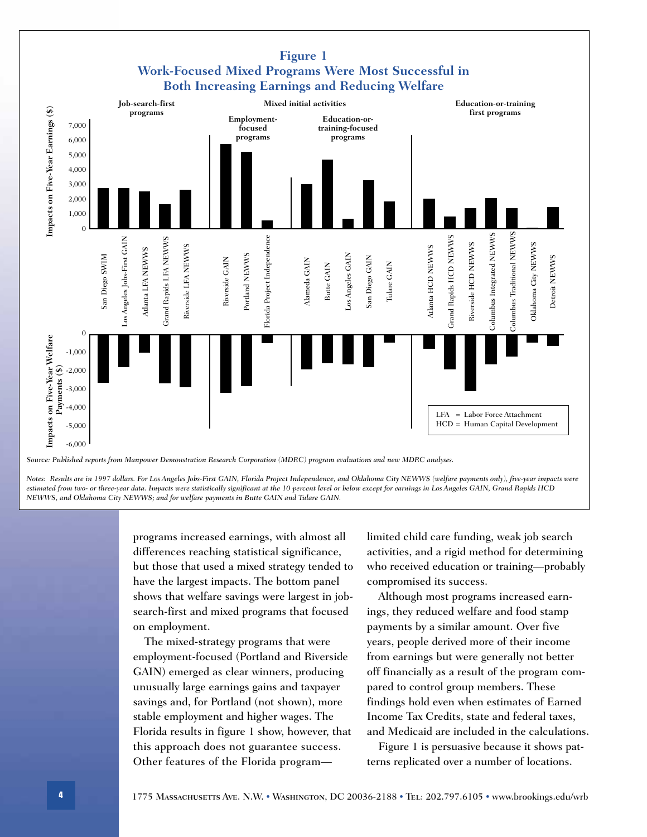

*Notes: Results are in 1997 dollars. For Los Angeles Jobs-First GAIN, Florida Project Independence, and Oklahoma City NEWWS (welfare payments only), five-year impacts were estimated from two- or three-year data. Impacts were statistically significant at the 10 percent level or below except for earnings in Los Angeles GAIN, Grand Rapids HCD*

*NEWWS, and Oklahoma City NEWWS; and for welfare payments in Butte GAIN and Tulare GAIN.*

programs increased earnings, with almost all differences reaching statistical significance, but those that used a mixed strategy tended to have the largest impacts. The bottom panel shows that welfare savings were largest in jobsearch-first and mixed programs that focused on employment.

The mixed-strategy programs that were employment-focused (Portland and Riverside GAIN) emerged as clear winners, producing unusually large earnings gains and taxpayer savings and, for Portland (not shown), more stable employment and higher wages. The Florida results in figure 1 show, however, that this approach does not guarantee success. Other features of the Florida programlimited child care funding, weak job search activities, and a rigid method for determining who received education or training—probably compromised its success.

Although most programs increased earnings, they reduced welfare and food stamp payments by a similar amount. Over five years, people derived more of their income from earnings but were generally not better off financially as a result of the program compared to control group members. These findings hold even when estimates of Earned Income Tax Credits, state and federal taxes, and Medicaid are included in the calculations.

Figure 1 is persuasive because it shows patterns replicated over a number of locations.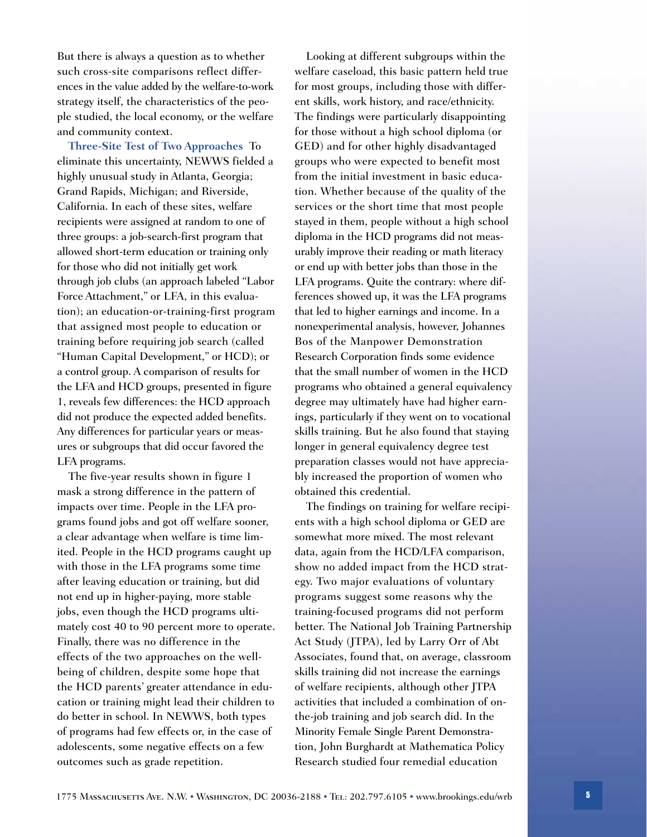But there is always a question as to whether such cross-site comparisons reflect differences in the value added by the welfare-to-work strategy itself, the characteristics of the people studied, the local economy, or the welfare and community context.

**Three-Site Test of Two Approaches** To eliminate this uncertainty, NEWWS fielded a highly unusual study in Atlanta, Georgia; Grand Rapids, Michigan; and Riverside, California. In each of these sites, welfare recipients were assigned at random to one of three groups: a job-search-first program that allowed short-term education or training only for those who did not initially get work through job clubs (an approach labeled "Labor Force Attachment," or LFA, in this evaluation); an education-or-training-first program that assigned most people to education or training before requiring job search (called "Human Capital Development," or HCD); or a control group. A comparison of results for the LFA and HCD groups, presented in figure 1, reveals few differences: the HCD approach did not produce the expected added benefits. Any differences for particular years or measures or subgroups that did occur favored the LFA programs.

The five-year results shown in figure 1 mask a strong difference in the pattern of impacts over time. People in the LFA programs found jobs and got off welfare sooner, a clear advantage when welfare is time limited. People in the HCD programs caught up with those in the LFA programs some time after leaving education or training, but did not end up in higher-paying, more stable jobs, even though the HCD programs ultimately cost 40 to 90 percent more to operate. Finally, there was no difference in the effects of the two approaches on the wellbeing of children, despite some hope that the HCD parents' greater attendance in education or training might lead their children to do better in school. In NEWWS, both types of programs had few effects or, in the case of adolescents, some negative effects on a few outcomes such as grade repetition.

Looking at different subgroups within the welfare caseload, this basic pattern held true for most groups, including those with different skills, work history, and race/ethnicity. The findings were particularly disappointing for those without a high school diploma (or GED) and for other highly disadvantaged groups who were expected to benefit most from the initial investment in basic education. Whether because of the quality of the services or the short time that most people stayed in them, people without a high school diploma in the HCD programs did not measurably improve their reading or math literacy or end up with better jobs than those in the LFA programs. Quite the contrary: where differences showed up, it was the LFA programs that led to higher earnings and income. In a nonexperimental analysis, however, Johannes Bos of the Manpower Demonstration Research Corporation finds some evidence that the small number of women in the HCD programs who obtained a general equivalency degree may ultimately have had higher earnings, particularly if they went on to vocational skills training. But he also found that staying longer in general equivalency degree test preparation classes would not have appreciably increased the proportion of women who obtained this credential.

The findings on training for welfare recipients with a high school diploma or GED are somewhat more mixed. The most relevant data, again from the HCD/LFA comparison, show no added impact from the HCD strategy. Two major evaluations of voluntary programs suggest some reasons why the training-focused programs did not perform better. The National Job Training Partnership Act Study (JTPA), led by Larry Orr of Abt Associates, found that, on average, classroom skills training did not increase the earnings of welfare recipients, although other JTPA activities that included a combination of onthe-job training and job search did. In the Minority Female Single Parent Demonstration, John Burghardt at Mathematica Policy Research studied four remedial education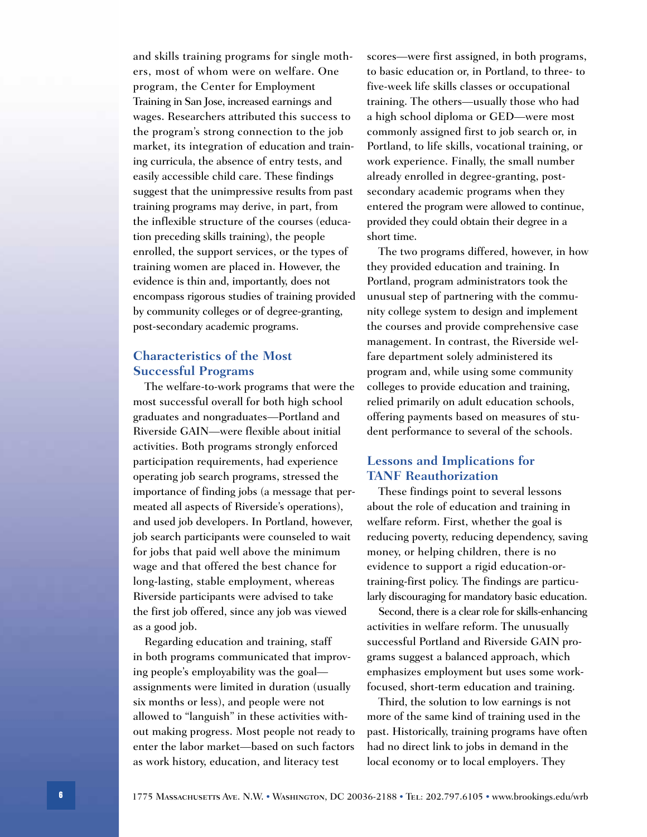and skills training programs for single mothers, most of whom were on welfare. One program, the Center for Employment Training in San Jose, increased earnings and wages. Researchers attributed this success to the program's strong connection to the job market, its integration of education and training curricula, the absence of entry tests, and easily accessible child care. These findings suggest that the unimpressive results from past training programs may derive, in part, from the inflexible structure of the courses (education preceding skills training), the people enrolled, the support services, or the types of training women are placed in. However, the evidence is thin and, importantly, does not encompass rigorous studies of training provided by community colleges or of degree-granting, post-secondary academic programs.

#### **Characteristics of the Most Successful Programs**

The welfare-to-work programs that were the most successful overall for both high school graduates and nongraduates—Portland and Riverside GAIN—were flexible about initial activities. Both programs strongly enforced participation requirements, had experience operating job search programs, stressed the importance of finding jobs (a message that permeated all aspects of Riverside's operations), and used job developers. In Portland, however, job search participants were counseled to wait for jobs that paid well above the minimum wage and that offered the best chance for long-lasting, stable employment, whereas Riverside participants were advised to take the first job offered, since any job was viewed as a good job.

Regarding education and training, staff in both programs communicated that improving people's employability was the goal assignments were limited in duration (usually six months or less), and people were not allowed to "languish" in these activities without making progress. Most people not ready to enter the labor market—based on such factors as work history, education, and literacy test

scores—were first assigned, in both programs, to basic education or, in Portland, to three- to five-week life skills classes or occupational training. The others—usually those who had a high school diploma or GED—were most commonly assigned first to job search or, in Portland, to life skills, vocational training, or work experience. Finally, the small number already enrolled in degree-granting, postsecondary academic programs when they entered the program were allowed to continue, provided they could obtain their degree in a short time.

The two programs differed, however, in how they provided education and training. In Portland, program administrators took the unusual step of partnering with the community college system to design and implement the courses and provide comprehensive case management. In contrast, the Riverside welfare department solely administered its program and, while using some community colleges to provide education and training, relied primarily on adult education schools, offering payments based on measures of student performance to several of the schools.

#### **Lessons and Implications for TANF Reauthorization**

These findings point to several lessons about the role of education and training in welfare reform. First, whether the goal is reducing poverty, reducing dependency, saving money, or helping children, there is no evidence to support a rigid education-ortraining-first policy. The findings are particularly discouraging for mandatory basic education.

Second, there is a clear role for skills-enhancing activities in welfare reform. The unusually successful Portland and Riverside GAIN programs suggest a balanced approach, which emphasizes employment but uses some workfocused, short-term education and training.

Third, the solution to low earnings is not more of the same kind of training used in the past. Historically, training programs have often had no direct link to jobs in demand in the local economy or to local employers. They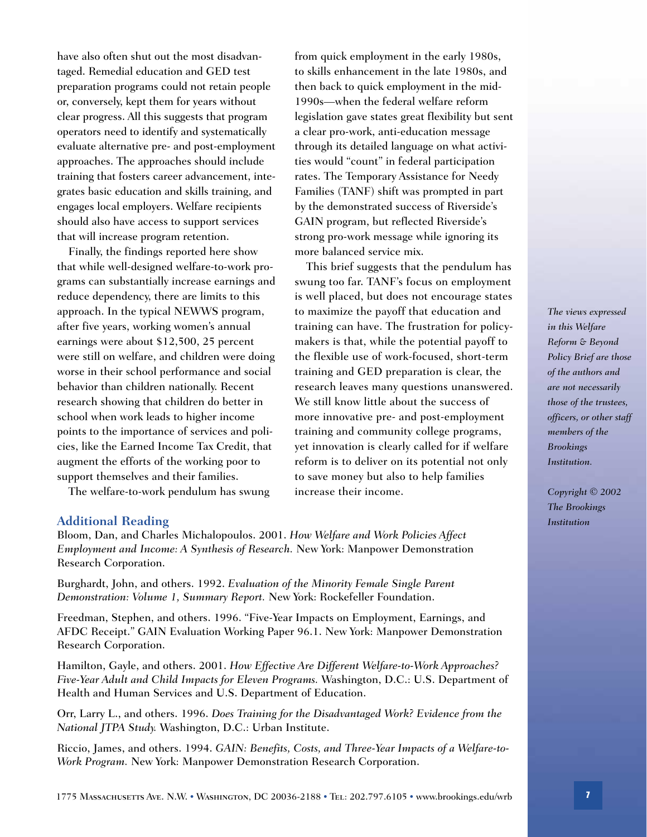have also often shut out the most disadvantaged. Remedial education and GED test preparation programs could not retain people or, conversely, kept them for years without clear progress. All this suggests that program operators need to identify and systematically evaluate alternative pre- and post-employment approaches. The approaches should include training that fosters career advancement, integrates basic education and skills training, and engages local employers. Welfare recipients should also have access to support services that will increase program retention.

Finally, the findings reported here show that while well-designed welfare-to-work programs can substantially increase earnings and reduce dependency, there are limits to this approach. In the typical NEWWS program, after five years, working women's annual earnings were about \$12,500, 25 percent were still on welfare, and children were doing worse in their school performance and social behavior than children nationally. Recent research showing that children do better in school when work leads to higher income points to the importance of services and policies, like the Earned Income Tax Credit, that augment the efforts of the working poor to support themselves and their families.

The welfare-to-work pendulum has swung

from quick employment in the early 1980s, to skills enhancement in the late 1980s, and then back to quick employment in the mid-1990s—when the federal welfare reform legislation gave states great flexibility but sent a clear pro-work, anti-education message through its detailed language on what activities would "count" in federal participation rates. The Temporary Assistance for Needy Families (TANF) shift was prompted in part by the demonstrated success of Riverside's GAIN program, but reflected Riverside's strong pro-work message while ignoring its more balanced service mix.

This brief suggests that the pendulum has swung too far. TANF's focus on employment is well placed, but does not encourage states to maximize the payoff that education and training can have. The frustration for policymakers is that, while the potential payoff to the flexible use of work-focused, short-term training and GED preparation is clear, the research leaves many questions unanswered. We still know little about the success of more innovative pre- and post-employment training and community college programs, yet innovation is clearly called for if welfare reform is to deliver on its potential not only to save money but also to help families increase their income.

#### **Additional Reading**

Bloom, Dan, and Charles Michalopoulos. 2001. *How Welfare and Work Policies Affect Employment and Income: A Synthesis of Research.* New York: Manpower Demonstration Research Corporation.

Burghardt, John, and others. 1992. *Evaluation of the Minority Female Single Parent Demonstration: Volume 1, Summary Report.* New York: Rockefeller Foundation.

Freedman, Stephen, and others. 1996. "Five-Year Impacts on Employment, Earnings, and AFDC Receipt." GAIN Evaluation Working Paper 96.1. New York: Manpower Demonstration Research Corporation.

Hamilton, Gayle, and others. 2001. *How Effective Are Different Welfare-to-Work Approaches? Five-Year Adult and Child Impacts for Eleven Programs.* Washington, D.C.: U.S. Department of Health and Human Services and U.S. Department of Education.

Orr, Larry L., and others. 1996. *Does Training for the Disadvantaged Work? Evidence from the National JTPA Study.* Washington, D.C.: Urban Institute.

Riccio, James, and others. 1994. *GAIN: Benefits, Costs, and Three-Year Impacts of a Welfare-to-Work Program.* New York: Manpower Demonstration Research Corporation.

*The views expressed in this Welfare Reform & Beyond Policy Brief are those of the authors and are not necessarily those of the trustees, officers, or other staff members of the Brookings Institution.*

*Copyright © 2002 The Brookings Institution*